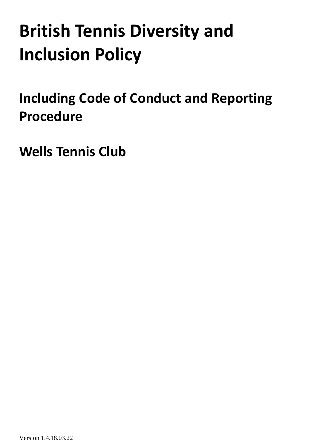# **British Tennis Diversity and Inclusion Policy**

<span id="page-0-0"></span>**Including Code of Conduct and Reporting Procedure**

**Wells Tennis Club**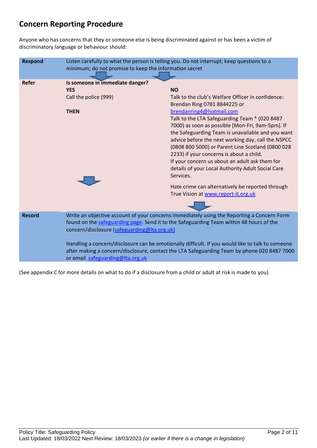# **Concern Reporting Procedure**

Anyone who has concerns that they or someone else is being discriminated against or has been a victim of discriminatory language or behaviour should:

| <b>Respond</b> | Listen carefully to what the person is telling you. Do not interrupt; keep questions to a<br>minimum; do not promise to keep the information secret                                                                                                                                                                                                                                                                                                                          |                                                                                                                                                                                                                                                                                                                                                                                                                                                                                                                                                                                                                                                            |
|----------------|------------------------------------------------------------------------------------------------------------------------------------------------------------------------------------------------------------------------------------------------------------------------------------------------------------------------------------------------------------------------------------------------------------------------------------------------------------------------------|------------------------------------------------------------------------------------------------------------------------------------------------------------------------------------------------------------------------------------------------------------------------------------------------------------------------------------------------------------------------------------------------------------------------------------------------------------------------------------------------------------------------------------------------------------------------------------------------------------------------------------------------------------|
| <b>Refer</b>   | Is someone in immediate danger?<br><b>YES</b><br>Call the police (999)<br><b>THEN</b>                                                                                                                                                                                                                                                                                                                                                                                        | <b>NO</b><br>Talk to the club's Welfare Officer in confidence:<br>Brendan Ring 0781 8844225 or<br>brendanring4@hotmail.com<br>Talk to the LTA Safeguarding Team * (020 8487<br>7000) as soon as possible [Mon-Fri, 9am-5pm]. If<br>the Safeguarding Team is unavailable and you want<br>advice before the next working day, call the NSPCC<br>(0808 800 5000) or Parent Line Scotland (0800 028<br>2233) if your concerns is about a child.<br>If your concern us about an adult ask them for<br>details of your Local Authority Adult Social Care<br>Services.<br>Hate crime can alternatively be reported through<br>True Vision at www.report-it.org.uk |
| <b>Record</b>  | Write an objective account of your concerns immediately using the Reporting a Concern Form<br>found on the safeguarding page. Send it to the Safeguarding Team within 48 hours of the<br>concern/disclosure (safeguarding@Ita.org.uk)<br>Handling a concern/disclosure can be emotionally difficult. If you would like to talk to someone<br>after making a concern/disclosure, contact the LTA Safeguarding Team by phone 020 8487 7000<br>or email safeguarding@Ita.org.uk |                                                                                                                                                                                                                                                                                                                                                                                                                                                                                                                                                                                                                                                            |

(See appendix C for more details on what to do if a disclosure from a child or adult at risk is made to you)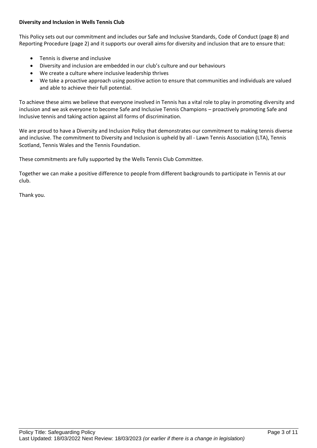#### **Diversity and Inclusion in Wells Tennis Club**

This Policy sets out our commitment and includes our Safe and Inclusive Standards, Code of Conduct (page 8) and Reporting Procedure (page 2) and it supports our overall aims for diversity and inclusion that are to ensure that:

- Tennis is diverse and inclusive
- Diversity and inclusion are embedded in our club's culture and our behaviours
- We create a culture where inclusive leadership thrives
- We take a proactive approach using positive action to ensure that communities and individuals are valued and able to achieve their full potential.

To achieve these aims we believe that everyone involved in Tennis has a vital role to play in promoting diversity and inclusion and we ask everyone to become Safe and Inclusive Tennis Champions – proactively promoting Safe and Inclusive tennis and taking action against all forms of discrimination.

We are proud to have a Diversity and Inclusion Policy that demonstrates our commitment to making tennis diverse and inclusive. The commitment to Diversity and Inclusion is upheld by all - Lawn Tennis Association (LTA), Tennis Scotland, Tennis Wales and the Tennis Foundation.

These commitments are fully supported by the Wells Tennis Club Committee.

Together we can make a positive difference to people from different backgrounds to participate in Tennis at our club.

Thank you.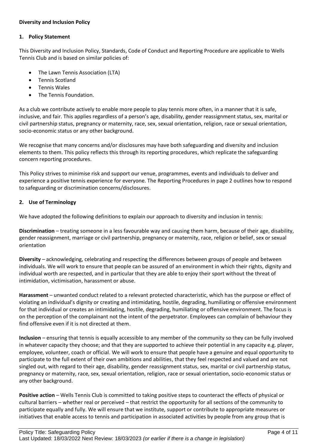#### **Diversity and Inclusion Policy**

#### **1. Policy Statement**

This Diversity and Inclusion Policy, Standards, Code of Conduct and Reporting Procedure are applicable to Wells Tennis Club and is based on similar policies of:

- The Lawn Tennis Association (LTA)
- Tennis Scotland
- Tennis Wales
- The Tennis Foundation.

As a club we contribute actively to enable more people to play tennis more often, in a manner that it is safe, inclusive, and fair. This applies regardless of a person's age, disability, gender reassignment status, sex, marital or civil partnership status, pregnancy or maternity, race, sex, sexual orientation, religion, race or sexual orientation, socio-economic status or any other background.

We recognise that many concerns and/or disclosures may have both safeguarding and diversity and inclusion elements to them. This policy reflects this through its reporting procedures, which replicate the safeguarding concern reporting procedures.

This Policy strives to minimise risk and support our venue, programmes, events and individuals to deliver and experience a positive tennis experience for everyone. The Reporting Procedures in page 2 outlines how to respond to safeguarding or discrimination concerns/disclosures.

## **2. Use of Terminology**

We have adopted the following definitions to explain our approach to diversity and inclusion in tennis:

**Discrimination** – treating someone in a less favourable way and causing them harm, because of their age, disability, gender reassignment, marriage or civil partnership, pregnancy or maternity, race, religion or belief, sex or sexual orientation

**Diversity** – acknowledging, celebrating and respecting the differences between groups of people and between individuals. We will work to ensure that people can be assured of an environment in which their rights, dignity and individual worth are respected, and in particular that they are able to enjoy their sport without the threat of intimidation, victimisation, harassment or abuse.

**Harassment** – unwanted conduct related to a relevant protected characteristic, which has the purpose or effect of violating an individual's dignity or creating and intimidating, hostile, degrading, humiliating or offensive environment for that individual or creates an intimidating, hostile, degrading, humiliating or offensive environment. The focus is on the perception of the complainant not the intent of the perpetrator. Employees can complain of behaviour they find offensive even if it is not directed at them.

**Inclusion** – ensuring that tennis is equally accessible to any member of the community so they can be fully involved in whatever capacity they choose; and that they are supported to achieve their potential in any capacity e.g. player, employee, volunteer, coach or official. We will work to ensure that people have a genuine and equal opportunity to participate to the full extent of their own ambitions and abilities, that they feel respected and valued and are not singled out, with regard to their age, disability, gender reassignment status, sex, marital or civil partnership status, pregnancy or maternity, race, sex, sexual orientation, religion, race or sexual orientation, socio-economic status or any other background.

**Positive action** – Wells Tennis Club is committed to taking positive steps to counteract the effects of physical or cultural barriers – whether real or perceived – that restrict the opportunity for all sections of the community to participate equally and fully. We will ensure that we institute, support or contribute to appropriate measures or initiatives that enable access to tennis and participation in associated activities by people from any group that is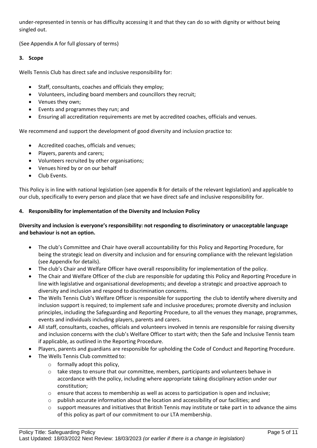under-represented in tennis or has difficulty accessing it and that they can do so with dignity or without being singled out.

(See Appendix A for full glossary of terms)

### **3. Scope**

Wells Tennis Club has direct safe and inclusive responsibility for:

- Staff, consultants, coaches and officials they employ;
- Volunteers, including board members and councillors they recruit;
- Venues they own;
- Events and programmes they run; and
- Ensuring all accreditation requirements are met by accredited coaches, officials and venues.

We recommend and support the development of good diversity and inclusion practice to:

- Accredited coaches, officials and venues;
- Players, parents and carers;
- Volunteers recruited by other organisations;
- Venues hired by or on our behalf
- Club Events.

This Policy is in line with national legislation (see appendix B for details of the relevant legislation) and applicable to our club, specifically to every person and place that we have direct safe and inclusive responsibility for.

#### **4. Responsibility for implementation of the Diversity and Inclusion Policy**

## **Diversity and inclusion is everyone's responsibility: not responding to discriminatory or unacceptable language and behaviour is not an option.**

- The club's Committee and Chair have overall accountability for this Policy and Reporting Procedure, for being the strategic lead on diversity and inclusion and for ensuring compliance with the relevant legislation (see Appendix for details).
- The club's Chair and Welfare Officer have overall responsibility for implementation of the policy.
- The Chair and Welfare Officer of the club are responsible for updating this Policy and Reporting Procedure in line with legislative and organisational developments; and develop a strategic and proactive approach to diversity and inclusion and respond to discrimination concerns.
- The Wells Tennis Club's Welfare Officer is responsible for supporting the club to identify where diversity and inclusion support is required; to implement safe and inclusive procedures; promote diversity and inclusion principles, including the Safeguarding and Reporting Procedure, to all the venues they manage, programmes, events and individuals including players, parents and carers.
- All staff, consultants, coaches, officials and volunteers involved in tennis are responsible for raising diversity and inclusion concerns with the club's Welfare Officer to start with; then the Safe and Inclusive Tennis team if applicable, as outlined in the Reporting Procedure.
- Players, parents and guardians are responsible for upholding the Code of Conduct and Reporting Procedure.
- The Wells Tennis Club committed to:
	- $\circ$  formally adopt this policy.
	- $\circ$  take steps to ensure that our committee, members, participants and volunteers behave in accordance with the policy, including where appropriate taking disciplinary action under our constitution;
	- $\circ$  ensure that access to membership as well as access to participation is open and inclusive;
	- $\circ$  publish accurate information about the location and accessibility of our facilities; and
	- $\circ$  support measures and initiatives that British Tennis may institute or take part in to advance the aims of this policy as part of our commitment to our LTA membership.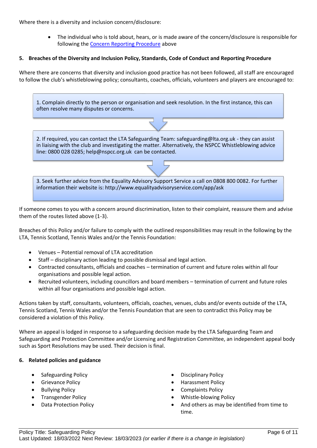Where there is a diversity and inclusion concern/disclosure:

• The individual who is told about, hears, or is made aware of the concern/disclosure is responsible for following the [Concern Reporting Procedure](#page-0-0) above

#### **5. Breaches of the Diversity and Inclusion Policy, Standards, Code of Conduct and Reporting Procedure**

Where there are concerns that diversity and inclusion good practice has not been followed, all staff are encouraged to follow the club's whistleblowing policy; consultants, coaches, officials, volunteers and players are encouraged to:



3. Seek further advice from the Equality Advisory Support Service a call on 0808 800 0082. For further information their website is: http://www.equalityadvisoryservice.com/app/ask

If someone comes to you with a concern around discrimination, listen to their complaint, reassure them and advise them of the routes listed above (1-3).

Breaches of this Policy and/or failure to comply with the outlined responsibilities may result in the following by the LTA, Tennis Scotland, Tennis Wales and/or the Tennis Foundation:

- Venues Potential removal of LTA accreditation
- Staff disciplinary action leading to possible dismissal and legal action.
- Contracted consultants, officials and coaches termination of current and future roles within all four organisations and possible legal action.
- Recruited volunteers, including councillors and board members termination of current and future roles within all four organisations and possible legal action.

Actions taken by staff, consultants, volunteers, officials, coaches, venues, clubs and/or events outside of the LTA, Tennis Scotland, Tennis Wales and/or the Tennis Foundation that are seen to contradict this Policy may be considered a violation of this Policy.

Where an appeal is lodged in response to a safeguarding decision made by the LTA Safeguarding Team and Safeguarding and Protection Committee and/or Licensing and Registration Committee, an independent appeal body such as Sport Resolutions may be used. Their decision is final.

#### **6. Related policies and guidance**

- Safeguarding Policy  **Disciplinary Policy**
- 
- 
- 
- 
- 
- Grievance Policy Harassment Policy
- Bullying Policy Complaints Policy
- Transgender Policy  **Whistle-blowing Policy** 
	- Data Protection Policy And others as may be identified from time to time.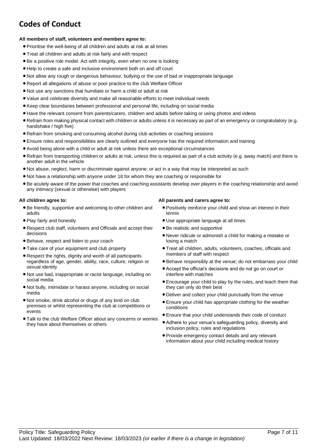# **Codes of Conduct**

#### **All members of staff, volunteers and members agree to:**

- Prioritise the well-being of all children and adults at risk at all times
- Treat all children and adults at risk fairly and with respect
- Be a positive role model. Act with integrity, even when no one is looking
- Help to create a safe and inclusive environment both on and off court
- Not allow any rough or dangerous behaviour, bullying or the use of bad or inappropriate language
- Report all allegations of abuse or poor practice to the club Welfare Officer
- Not use any sanctions that humiliate or harm a child or adult at risk
- Value and celebrate diversity and make all reasonable efforts to meet individual needs
- Keep clear boundaries between professional and personal life, including on social media
- Have the relevant consent from parents/carers, children and adults before taking or using photos and videos
- Refrain from making physical contact with children or adults unless it is necessary as part of an emergency or congratulatory (e.g. handshake / high five)
- Refrain from smoking and consuming alcohol during club activities or coaching sessions
- Ensure roles and responsibilities are clearly outlined and everyone has the required information and training
- Avoid being alone with a child or adult at risk unless there are exceptional circumstances
- Refrain from transporting children or adults at risk, unless this is required as part of a club activity (e.g. away match) and there is another adult in the vehicle
- Not abuse, neglect, harm or discriminate against anyone; or act in a way that may be interpreted as such
- Not have a relationship with anyone under 18 for whom they are coaching or responsible for
- Be acutely aware of the power that coaches and coaching assistants develop over players in the coaching relationship and avoid any intimacy (sexual or otherwise) with players

#### **All children agree to:**

- Be friendly, supportive and welcoming to other children and adults
- Play fairly and honestly
- Respect club staff, volunteers and Officials and accept their decisions
- Behave, respect and listen to your coach
- Take care of your equipment and club property
- Respect the rights, dignity and worth of all participants regardless of age, gender, ability, race, culture, religion or sexual identity
- Not use bad, inappropriate or racist language, including on social media
- Not bully, intimidate or harass anyone, including on social media
- Not smoke, drink alcohol or drugs of any kind on club premises or whilst representing the club at competitions or events
- Talk to the club Welfare Officer about any concerns or worries they have about themselves or others

#### **All parents and carers agree to:**

- Positively reinforce your child and show an interest in their tennis
- Use appropriate language at all times
- Be realistic and supportive
- Never ridicule or admonish a child for making a mistake or losing a match
- Treat all children, adults, volunteers, coaches, officials and members of staff with respect
- Behave responsibly at the venue; do not embarrass your child
- Accept the official's decisions and do not go on court or interfere with matches
- Encourage your child to play by the rules, and teach them that they can only do their best
- Deliver and collect your child punctually from the venue
- Ensure your child has appropriate clothing for the weather conditions
- Ensure that your child understands their code of conduct
- Adhere to your venue's safeguarding policy, diversity and inclusion policy, rules and regulations
- Provide emergency contact details and any relevant information about your child including medical history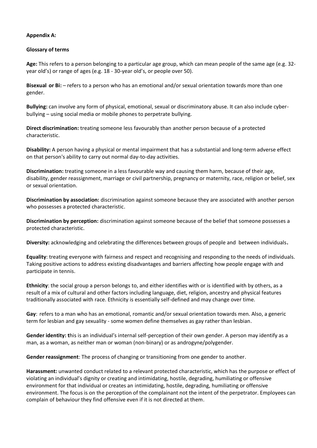#### **Appendix A:**

#### **Glossary of terms**

**Age:** This refers to a person belonging to a particular age group, which can mean people of the same age (e.g. 32 year old's) or range of ages (e.g. 18 - 30-year old's, or people over 50).

**Bisexual or Bi:** – refers to a person who has an emotional and/or sexual orientation towards more than one gender.

**Bullying:** can involve any form of physical, emotional, sexual or discriminatory abuse. It can also include cyberbullying – using social media or mobile phones to perpetrate bullying.

**Direct discrimination:** treating someone less favourably than another person because of a protected characteristic.

**Disability:** A person having a physical or mental impairment that has a substantial and long-term adverse effect on that person's ability to carry out normal day-to-day activities.

**Discrimination:** treating someone in a less favourable way and causing them harm, because of their age, disability, gender reassignment, marriage or civil partnership, pregnancy or maternity, race, religion or belief, sex or sexual orientation.

**Discrimination by association:** discrimination against someone because they are associated with another person who possesses a protected characteristic.

**Discrimination by perception:** discrimination against someone because of the belief that someone possesses a protected characteristic.

**Diversity:** acknowledging and celebrating the differences between groups of people and between individuals**.**

**Equality**: treating everyone with fairness and respect and recognising and responding to the needs of individuals. Taking positive actions to address existing disadvantages and barriers affecting how people engage with and participate in tennis.

**Ethnicity**: the social group a person belongs to, and either identifies with or is identified with by others, as a result of a mix of cultural and other factors including language, diet, religion, ancestry and physical features traditionally associated with race. Ethnicity is essentially self-defined and may change over time.

**Gay**: refers to a man who has an emotional, romantic and/or sexual orientation towards men. Also, a generic term for lesbian and gay sexuality - some women define themselves as gay rather than lesbian.

**Gender identity: t**his is an individual's internal self-perception of their own gender. A person may identify as a man, as a woman, as neither man or woman (non-binary) or as androgyne/polygender.

**Gender reassignment**: The process of changing or transitioning from one gender to another.

**Harassment:** unwanted conduct related to a relevant protected characteristic, which has the purpose or effect of violating an individual's dignity or creating and intimidating, hostile, degrading, humiliating or offensive environment for that individual or creates an intimidating, hostile, degrading, humiliating or offensive environment. The focus is on the perception of the complainant not the intent of the perpetrator. Employees can complain of behaviour they find offensive even if it is not directed at them.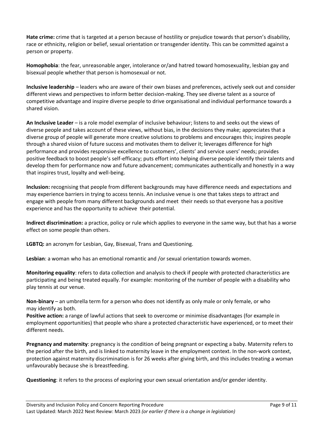**Hate crime:** crime that is targeted at a person because of hostility or prejudice towards that person's disability, race or ethnicity, religion or belief, sexual orientation or transgender identity. This can be committed against a person or property.

**Homophobia**: the fear, unreasonable anger, intolerance or/and hatred toward homosexuality, lesbian gay and bisexual people whether that person is homosexual or not.

**Inclusive leadership** – leaders who are aware of their own biases and preferences, actively seek out and consider different views and perspectives to inform better decision-making. They see diverse talent as a source of competitive advantage and inspire diverse people to drive organisational and individual performance towards a shared vision.

**An Inclusive Leader** – is a role model exemplar of inclusive behaviour; listens to and seeks out the views of diverse people and takes account of these views, without bias, in the decisions they make; appreciates that a diverse group of people will generate more creative solutions to problems and encourages this; inspires people through a shared vision of future success and motivates them to deliver it; leverages difference for high performance and provides responsive excellence to customers', clients' and service users' needs; provides positive feedback to boost people's self-efficacy; puts effort into helping diverse people identify their talents and develop them for performance now and future advancement; communicates authentically and honestly in a way that inspires trust, loyalty and well-being.

**Inclusion:** recognising that people from different backgrounds may have difference needs and expectations and may experience barriers in trying to access tennis. An inclusive venue is one that takes steps to attract and engage with people from many different backgrounds and meet their needs so that everyone has a positive experience and has the opportunity to achieve their potential.

**Indirect discrimination:** a practice, policy or rule which applies to everyone in the same way, but that has a worse effect on some people than others.

**LGBTQ:** an acronym for Lesbian, Gay, Bisexual, Trans and Questioning.

**Lesbian**: a woman who has an emotional romantic and /or sexual orientation towards women.

**Monitoring equality**: refers to data collection and analysis to check if people with protected characteristics are participating and being treated equally. For example: monitoring of the number of people with a disability who play tennis at our venue.

**Non-binary** – an umbrella term for a person who does not identify as only male or only female, or who may identify as both.

**Positive action:** a range of lawful actions that seek to overcome or minimise disadvantages (for example in employment opportunities) that people who share a protected characteristic have experienced, or to meet their different needs.

**Pregnancy and maternity**: pregnancy is the condition of being pregnant or expecting a baby. Maternity refers to the period after the birth, and is linked to maternity leave in the employment context. In the non-work context, protection against maternity discrimination is for 26 weeks after giving birth, and this includes treating a woman unfavourably because she is breastfeeding.

**Questioning**: it refers to the process of exploring your own sexual orientation and/or gender identity.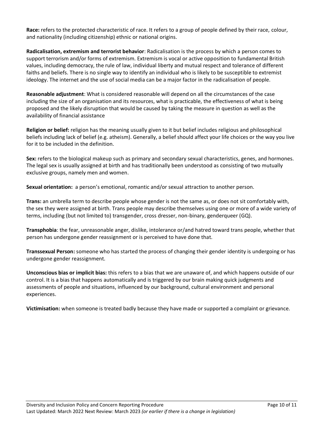**Race:** refers to the protected characteristic of race. It refers to a group of people defined by their race, colour, and nationality (including citizenship) ethnic or national origins.

**Radicalisation, extremism and terrorist behavior**: Radicalisation is the process by which a person comes to support terrorism and/or forms of extremism. Extremism is vocal or active opposition to fundamental British values, including democracy, the rule of law, individual liberty and mutual respect and tolerance of different faiths and beliefs. There is no single way to identify an individual who is likely to be susceptible to extremist ideology. The internet and the use of social media can be a major factor in the radicalisation of people.

**Reasonable adjustment**: What is considered reasonable will depend on all the circumstances of the case including the size of an organisation and its resources, what is practicable, the effectiveness of what is being proposed and the likely disruption that would be caused by taking the measure in question as well as the availability of financial assistance

**Religion or belief:** religion has the meaning usually given to it but belief includes religious and philosophical beliefs including lack of belief (e.g. atheism). Generally, a belief should affect your life choices or the way you live for it to be included in the definition.

**Sex:** refers to the biological makeup such as primary and secondary sexual characteristics, genes, and hormones. The legal sex is usually assigned at birth and has traditionally been understood as consisting of two mutually exclusive groups, namely men and women.

**Sexual orientation:** a person's emotional, romantic and/or sexual attraction to another person.

**Trans:** an umbrella term to describe people whose gender is not the same as, or does not sit comfortably with, the sex they were assigned at birth. Trans people may describe themselves using one or more of a wide variety of terms, including (but not limited to) transgender, cross dresser, non-binary, genderqueer (GQ).

**Transphobia**: the fear, unreasonable anger, dislike, intolerance or/and hatred toward trans people, whether that person has undergone gender reassignment or is perceived to have done that.

**Transsexual Person:** someone who has started the process of changing their gender identity is undergoing or has undergone gender reassignment.

**Unconscious bias or implicit bias:** this refers to a bias that we are unaware of, and which happens outside of our control. It is a bias that happens automatically and is triggered by our brain making quick judgments and assessments of people and situations, influenced by our background, cultural environment and personal experiences.

**Victimisation:** when someone is treated badly because they have made or supported a complaint or grievance.